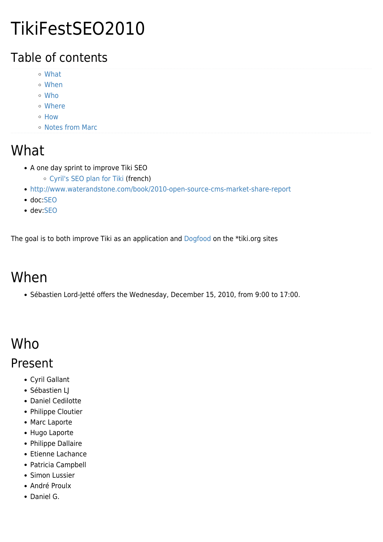# TikiFestSEO2010

### Table of contents

- [What](#page--1-0)
- [When](#page--1-0)
- [Who](#page--1-0)
- [Where](#page--1-0)
- [How](#page--1-0)
- [Notes from Marc](#page--1-0)

### What

- A one day sprint to improve Tiki SEO
	- [Cyril's SEO plan for Tiki](http://tiki.org/tiki-view_forum_thread.php?comments_parentId=38890&topics_sort_mode=lastPost_desc&forumId=7) (french)
- <http://www.waterandstone.com/book/2010-open-source-cms-market-share-report>
- doc[:SEO](http://doc.tiki.org/SEO)
- dev:[SEO](http://dev.tiki.org/SEO)

The goal is to both improve Tiki as an application and [Dogfood](https://tiki.org/DogFood) on the \*tiki.org sites

## When

Sébastien Lord-Jetté offers the Wednesday, December 15, 2010, from 9:00 to 17:00.

## Who

#### Present

- Cyril Gallant
- Sébastien LJ
- Daniel Cedilotte
- Philippe Cloutier
- Marc Laporte
- Hugo Laporte
- Philippe Dallaire
- Etienne Lachance
- Patricia Campbell
- Simon Lussier
- André Proulx
- Daniel G.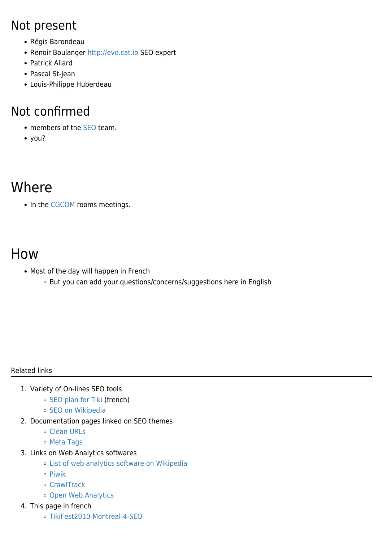#### Not present

- Régis Barondeau
- Renoir Boulanger<http://evo.cat.io>SEO expert
- Patrick Allard
- Pascal St-Jean
- Louis-Philippe Huberdeau

#### Not confirmed

- members of the [SEO](https://tiki.org/Search-engine-optimization) team.
- you?

### Where

• In the [CGCOM](https://tiki.org/CGCOM) rooms meetings.

### How

- Most of the day will happen in French
	- But you can add your questions/concerns/suggestions here in English

#### Related links

- 1. Variety of On-lines SEO tools
	- o [SEO plan for Tiki](http://tiki.org/tiki-view_forum_thread.php?comments_parentId=38890&topics_sort_mode=lastPost_desc&forumId=7) (french)
	- o [SEO on Wikipedia](http://en.wikipedia.org/wiki/Search_engine_optimization)
- 2. Documentation pages linked on SEO themes
	- [Clean URLs](http://doc.tiki.org/Clean%20URLs)
	- [Meta Tags](http://doc.tiki.org/Meta%20Tags)
- 3. Links on Web Analytics softwares
	- [List of web analytics software on Wikipedia](http://en.wikipedia.org/wiki/List_of_web_analytics_software)
	- $\circ$  [Piwik](http://piwik.org)
	- [CrawlTrack](http://www.crawltrack.net)
	- [Open Web Analytics](http://www.openwebanalytics.com)
- 4. This page in french
	- [TikiFest2010-Montreal-4-SEO](https://tiki.org/TikiFest2010-Montreal-4-SEO)